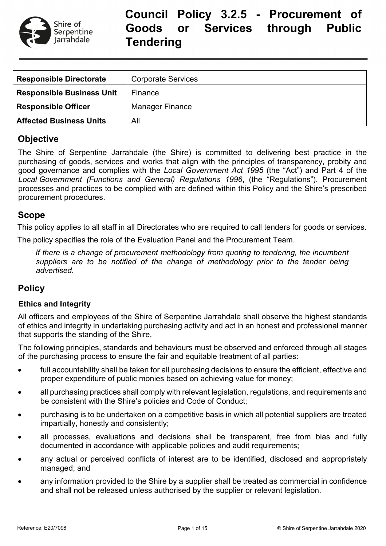

# **Council Policy 3.2.5 - Procurement of Goods or Services through Public Tendering**

| <b>Responsible Directorate</b>   | <b>Corporate Services</b> |
|----------------------------------|---------------------------|
| <b>Responsible Business Unit</b> | Finance                   |
| <b>Responsible Officer</b>       | <b>Manager Finance</b>    |
| <b>Affected Business Units</b>   | All                       |

## **Objective**

The Shire of Serpentine Jarrahdale (the Shire) is committed to delivering best practice in the purchasing of goods, services and works that align with the principles of transparency, probity and good governance and complies with the *Local Government Act 1995* (the "Act") and Part 4 of the *Local Government (Functions and General) Regulations 1996*, (the "Regulations"). Procurement processes and practices to be complied with are defined within this Policy and the Shire's prescribed procurement procedures.

## **Scope**

This policy applies to all staff in all Directorates who are required to call tenders for goods or services.

The policy specifies the role of the Evaluation Panel and the Procurement Team.

*If there is a change of procurement methodology from quoting to tendering, the incumbent suppliers are to be notified of the change of methodology prior to the tender being advertised.*

## **Policy**

#### **Ethics and Integrity**

All officers and employees of the Shire of Serpentine Jarrahdale shall observe the highest standards of ethics and integrity in undertaking purchasing activity and act in an honest and professional manner that supports the standing of the Shire.

The following principles, standards and behaviours must be observed and enforced through all stages of the purchasing process to ensure the fair and equitable treatment of all parties:

- full accountability shall be taken for all purchasing decisions to ensure the efficient, effective and proper expenditure of public monies based on achieving value for money;
- all purchasing practices shall comply with relevant legislation, regulations, and requirements and be consistent with the Shire's policies and Code of Conduct;
- purchasing is to be undertaken on a competitive basis in which all potential suppliers are treated impartially, honestly and consistently;
- all processes, evaluations and decisions shall be transparent, free from bias and fully documented in accordance with applicable policies and audit requirements;
- any actual or perceived conflicts of interest are to be identified, disclosed and appropriately managed; and
- any information provided to the Shire by a supplier shall be treated as commercial in confidence and shall not be released unless authorised by the supplier or relevant legislation.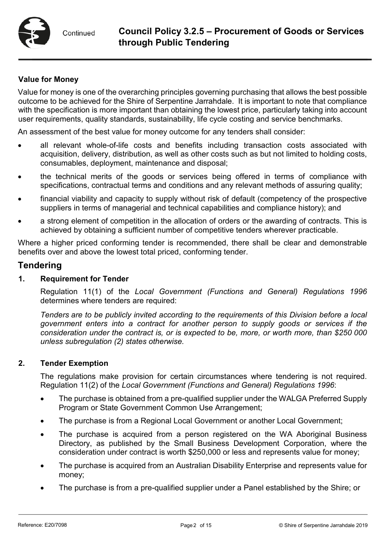### **Value for Money**

Value for money is one of the overarching principles governing purchasing that allows the best possible outcome to be achieved for the Shire of Serpentine Jarrahdale. It is important to note that compliance with the specification is more important than obtaining the lowest price, particularly taking into account user requirements, quality standards, sustainability, life cycle costing and service benchmarks.

An assessment of the best value for money outcome for any tenders shall consider:

- all relevant whole-of-life costs and benefits including transaction costs associated with acquisition, delivery, distribution, as well as other costs such as but not limited to holding costs, consumables, deployment, maintenance and disposal;
- the technical merits of the goods or services being offered in terms of compliance with specifications, contractual terms and conditions and any relevant methods of assuring quality;
- financial viability and capacity to supply without risk of default (competency of the prospective suppliers in terms of managerial and technical capabilities and compliance history); and
- a strong element of competition in the allocation of orders or the awarding of contracts. This is achieved by obtaining a sufficient number of competitive tenders wherever practicable.

Where a higher priced conforming tender is recommended, there shall be clear and demonstrable benefits over and above the lowest total priced, conforming tender.

## **Tendering**

#### **1. Requirement for Tender**

Regulation 11(1) of the *Local Government (Functions and General) Regulations 1996* determines where tenders are required:

*Tenders are to be publicly invited according to the requirements of this Division before a local government enters into a contract for another person to supply goods or services if the consideration under the contract is, or is expected to be, more, or worth more, than \$250 000 unless subregulation (2) states otherwise.*

#### **2. Tender Exemption**

The regulations make provision for certain circumstances where tendering is not required. Regulation 11(2) of the *Local Government (Functions and General) Regulations 1996*:

- The purchase is obtained from a pre-qualified supplier under the WALGA Preferred Supply Program or State Government Common Use Arrangement;
- The purchase is from a Regional Local Government or another Local Government;
- The purchase is acquired from a person registered on the WA Aboriginal Business Directory, as published by the Small Business Development Corporation, where the consideration under contract is worth \$250,000 or less and represents value for money;
- The purchase is acquired from an Australian Disability Enterprise and represents value for money;
- The purchase is from a pre-qualified supplier under a Panel established by the Shire; or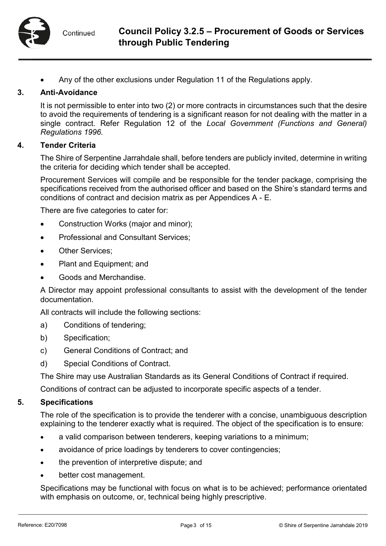• Any of the other exclusions under Regulation 11 of the Regulations apply.

#### **3. Anti-Avoidance**

It is not permissible to enter into two (2) or more contracts in circumstances such that the desire to avoid the requirements of tendering is a significant reason for not dealing with the matter in a single contract. Refer Regulation 12 of the *Local Government (Functions and General) Regulations 1996.*

#### **4. Tender Criteria**

The Shire of Serpentine Jarrahdale shall, before tenders are publicly invited, determine in writing the criteria for deciding which tender shall be accepted.

Procurement Services will compile and be responsible for the tender package, comprising the specifications received from the authorised officer and based on the Shire's standard terms and conditions of contract and decision matrix as per Appendices A - E.

There are five categories to cater for:

- Construction Works (major and minor);
- Professional and Consultant Services;
- Other Services;
- Plant and Equipment; and
- Goods and Merchandise.

A Director may appoint professional consultants to assist with the development of the tender documentation.

All contracts will include the following sections:

- a) Conditions of tendering;
- b) Specification;
- c) General Conditions of Contract; and
- d) Special Conditions of Contract.

The Shire may use Australian Standards as its General Conditions of Contract if required.

Conditions of contract can be adjusted to incorporate specific aspects of a tender.

#### **5. Specifications**

The role of the specification is to provide the tenderer with a concise, unambiguous description explaining to the tenderer exactly what is required. The object of the specification is to ensure:

- a valid comparison between tenderers, keeping variations to a minimum;
- avoidance of price loadings by tenderers to cover contingencies;
- the prevention of interpretive dispute; and
- better cost management.

Specifications may be functional with focus on what is to be achieved; performance orientated with emphasis on outcome, or, technical being highly prescriptive.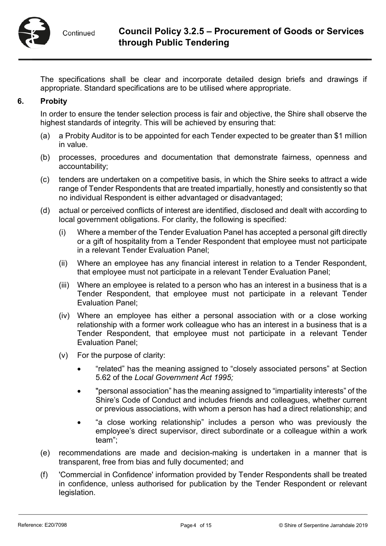

The specifications shall be clear and incorporate detailed design briefs and drawings if appropriate. Standard specifications are to be utilised where appropriate.

### **6. Probity**

In order to ensure the tender selection process is fair and objective, the Shire shall observe the highest standards of integrity. This will be achieved by ensuring that:

- (a) a Probity Auditor is to be appointed for each Tender expected to be greater than \$1 million in value.
- (b) processes, procedures and documentation that demonstrate fairness, openness and accountability;
- (c) tenders are undertaken on a competitive basis, in which the Shire seeks to attract a wide range of Tender Respondents that are treated impartially, honestly and consistently so that no individual Respondent is either advantaged or disadvantaged;
- (d) actual or perceived conflicts of interest are identified, disclosed and dealt with according to local government obligations. For clarity, the following is specified:
	- (i) Where a member of the Tender Evaluation Panel has accepted a personal gift directly or a gift of hospitality from a Tender Respondent that employee must not participate in a relevant Tender Evaluation Panel;
	- (ii) Where an employee has any financial interest in relation to a Tender Respondent, that employee must not participate in a relevant Tender Evaluation Panel;
	- (iii) Where an employee is related to a person who has an interest in a business that is a Tender Respondent, that employee must not participate in a relevant Tender Evaluation Panel;
	- (iv) Where an employee has either a personal association with or a close working relationship with a former work colleague who has an interest in a business that is a Tender Respondent, that employee must not participate in a relevant Tender Evaluation Panel;
	- (v) For the purpose of clarity:
		- "related" has the meaning assigned to "closely associated persons" at Section 5.62 of the *Local Government Act 1995;*
		- "personal association" has the meaning assigned to "impartiality interests" of the Shire's Code of Conduct and includes friends and colleagues, whether current or previous associations, with whom a person has had a direct relationship; and
		- "a close working relationship" includes a person who was previously the employee's direct supervisor, direct subordinate or a colleague within a work team";
- (e) recommendations are made and decision-making is undertaken in a manner that is transparent, free from bias and fully documented; and
- (f) 'Commercial in Confidence' information provided by Tender Respondents shall be treated in confidence, unless authorised for publication by the Tender Respondent or relevant legislation.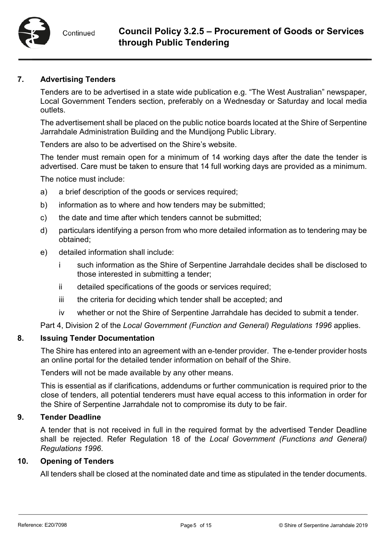#### **7. Advertising Tenders**

Tenders are to be advertised in a state wide publication e.g. "The West Australian" newspaper, Local Government Tenders section, preferably on a Wednesday or Saturday and local media outlets.

The advertisement shall be placed on the public notice boards located at the Shire of Serpentine Jarrahdale Administration Building and the Mundijong Public Library.

Tenders are also to be advertised on the Shire's website.

The tender must remain open for a minimum of 14 working days after the date the tender is advertised. Care must be taken to ensure that 14 full working days are provided as a minimum.

The notice must include:

- a) a brief description of the goods or services required;
- b) information as to where and how tenders may be submitted;
- c) the date and time after which tenders cannot be submitted;
- d) particulars identifying a person from who more detailed information as to tendering may be obtained;
- e) detailed information shall include:
	- i such information as the Shire of Serpentine Jarrahdale decides shall be disclosed to those interested in submitting a tender;
	- ii detailed specifications of the goods or services required;
	- iii the criteria for deciding which tender shall be accepted; and
	- iv whether or not the Shire of Serpentine Jarrahdale has decided to submit a tender.

Part 4, Division 2 of the *Local Government (Function and General) Regulations 1996* applies.

#### **8. Issuing Tender Documentation**

The Shire has entered into an agreement with an e-tender provider. The e-tender provider hosts an online portal for the detailed tender information on behalf of the Shire.

Tenders will not be made available by any other means.

This is essential as if clarifications, addendums or further communication is required prior to the close of tenders, all potential tenderers must have equal access to this information in order for the Shire of Serpentine Jarrahdale not to compromise its duty to be fair.

#### **9. Tender Deadline**

A tender that is not received in full in the required format by the advertised Tender Deadline shall be rejected. Refer Regulation 18 of the *Local Government (Functions and General) Regulations 1996*.

#### **10. Opening of Tenders**

All tenders shall be closed at the nominated date and time as stipulated in the tender documents.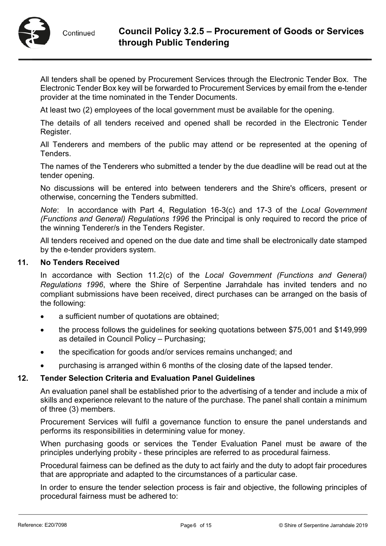

All tenders shall be opened by Procurement Services through the Electronic Tender Box. The Electronic Tender Box key will be forwarded to Procurement Services by email from the e-tender provider at the time nominated in the Tender Documents.

At least two (2) employees of the local government must be available for the opening.

The details of all tenders received and opened shall be recorded in the Electronic Tender Register.

All Tenderers and members of the public may attend or be represented at the opening of Tenders.

The names of the Tenderers who submitted a tender by the due deadline will be read out at the tender opening.

No discussions will be entered into between tenderers and the Shire's officers, present or otherwise, concerning the Tenders submitted.

*Note*: In accordance with Part 4, Regulation 16-3(c) and 17-3 of the *Local Government (Functions and General) Regulations 1996* the Principal is only required to record the price of the winning Tenderer/s in the Tenders Register.

All tenders received and opened on the due date and time shall be electronically date stamped by the e-tender providers system.

#### **11. No Tenders Received**

In accordance with Section 11.2(c) of the *Local Government (Functions and General) Regulations 1996*, where the Shire of Serpentine Jarrahdale has invited tenders and no compliant submissions have been received, direct purchases can be arranged on the basis of the following:

- a sufficient number of quotations are obtained;
- the process follows the guidelines for seeking quotations between \$75,001 and \$149,999 as detailed in Council Policy – Purchasing;
- the specification for goods and/or services remains unchanged; and
- purchasing is arranged within 6 months of the closing date of the lapsed tender.

#### **12. Tender Selection Criteria and Evaluation Panel Guidelines**

An evaluation panel shall be established prior to the advertising of a tender and include a mix of skills and experience relevant to the nature of the purchase. The panel shall contain a minimum of three (3) members.

Procurement Services will fulfil a governance function to ensure the panel understands and performs its responsibilities in determining value for money.

When purchasing goods or services the Tender Evaluation Panel must be aware of the principles underlying probity - these principles are referred to as procedural fairness.

Procedural fairness can be defined as the duty to act fairly and the duty to adopt fair procedures that are appropriate and adapted to the circumstances of a particular case.

In order to ensure the tender selection process is fair and objective, the following principles of procedural fairness must be adhered to: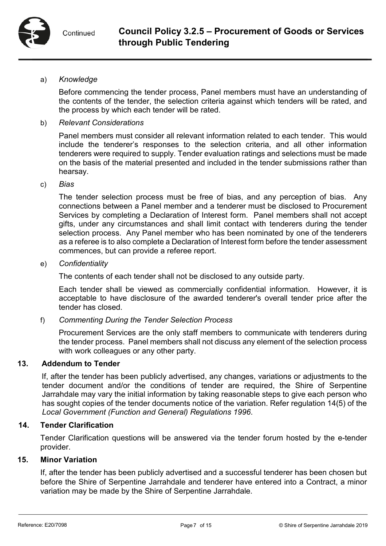#### a) *Knowledge*

Before commencing the tender process, Panel members must have an understanding of the contents of the tender, the selection criteria against which tenders will be rated, and the process by which each tender will be rated.

#### b) *Relevant Considerations*

Panel members must consider all relevant information related to each tender. This would include the tenderer's responses to the selection criteria, and all other information tenderers were required to supply. Tender evaluation ratings and selections must be made on the basis of the material presented and included in the tender submissions rather than hearsay.

#### c) *Bias*

The tender selection process must be free of bias, and any perception of bias. Any connections between a Panel member and a tenderer must be disclosed to Procurement Services by completing a Declaration of Interest form. Panel members shall not accept gifts, under any circumstances and shall limit contact with tenderers during the tender selection process. Any Panel member who has been nominated by one of the tenderers as a referee is to also complete a Declaration of Interest form before the tender assessment commences, but can provide a referee report.

#### e) *Confidentiality*

The contents of each tender shall not be disclosed to any outside party.

Each tender shall be viewed as commercially confidential information. However, it is acceptable to have disclosure of the awarded tenderer's overall tender price after the tender has closed.

#### f) *Commenting During the Tender Selection Process*

Procurement Services are the only staff members to communicate with tenderers during the tender process. Panel members shall not discuss any element of the selection process with work colleagues or any other party.

#### **13. Addendum to Tender**

If, after the tender has been publicly advertised, any changes, variations or adjustments to the tender document and/or the conditions of tender are required, the Shire of Serpentine Jarrahdale may vary the initial information by taking reasonable steps to give each person who has sought copies of the tender documents notice of the variation. Refer regulation 14(5) of the *Local Government (Function and General) Regulations 1996*.

#### **14. Tender Clarification**

Tender Clarification questions will be answered via the tender forum hosted by the e-tender provider.

#### **15. Minor Variation**

If, after the tender has been publicly advertised and a successful tenderer has been chosen but before the Shire of Serpentine Jarrahdale and tenderer have entered into a Contract, a minor variation may be made by the Shire of Serpentine Jarrahdale.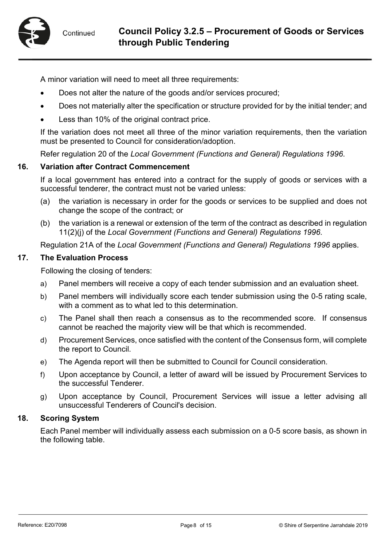

A minor variation will need to meet all three requirements:

- Does not alter the nature of the goods and/or services procured;
- Does not materially alter the specification or structure provided for by the initial tender; and
- Less than 10% of the original contract price.

If the variation does not meet all three of the minor variation requirements, then the variation must be presented to Council for consideration/adoption.

Refer regulation 20 of the *Local Government (Functions and General) Regulations 1996*.

#### **16. Variation after Contract Commencement**

If a local government has entered into a contract for the supply of goods or services with a successful tenderer, the contract must not be varied unless:

- (a) the variation is necessary in order for the goods or services to be supplied and does not change the scope of the contract; or
- (b) the variation is a renewal or extension of the term of the contract as described in regulation 11(2)(j) of the *Local Government (Functions and General) Regulations 1996*.

Regulation 21A of the *Local Government (Functions and General) Regulations 1996* applies.

#### **17. The Evaluation Process**

Following the closing of tenders:

- a) Panel members will receive a copy of each tender submission and an evaluation sheet.
- b) Panel members will individually score each tender submission using the 0-5 rating scale, with a comment as to what led to this determination.
- c) The Panel shall then reach a consensus as to the recommended score. If consensus cannot be reached the majority view will be that which is recommended.
- d) Procurement Services, once satisfied with the content of the Consensus form, will complete the report to Council.
- e) The Agenda report will then be submitted to Council for Council consideration.
- f) Upon acceptance by Council, a letter of award will be issued by Procurement Services to the successful Tenderer.
- g) Upon acceptance by Council, Procurement Services will issue a letter advising all unsuccessful Tenderers of Council's decision.

#### **18. Scoring System**

Each Panel member will individually assess each submission on a 0-5 score basis, as shown in the following table.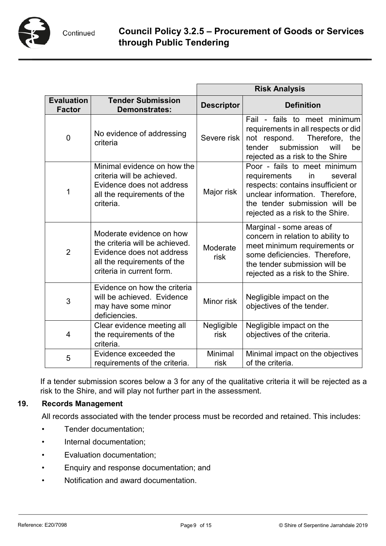

|                                    |                                                                                                                                                     | <b>Risk Analysis</b> |                                                                                                                                                                                                             |
|------------------------------------|-----------------------------------------------------------------------------------------------------------------------------------------------------|----------------------|-------------------------------------------------------------------------------------------------------------------------------------------------------------------------------------------------------------|
| <b>Evaluation</b><br><b>Factor</b> | <b>Tender Submission</b><br><b>Demonstrates:</b>                                                                                                    | <b>Descriptor</b>    | <b>Definition</b>                                                                                                                                                                                           |
| $\overline{0}$                     | No evidence of addressing<br>criteria                                                                                                               | Severe risk          | Fail - fails to meet minimum<br>requirements in all respects or did<br>Therefore,<br>not respond.<br>the<br>submission<br>tender<br>will<br>be<br>rejected as a risk to the Shire                           |
| 1                                  | Minimal evidence on how the<br>criteria will be achieved.<br>Evidence does not address<br>all the requirements of the<br>criteria.                  | Major risk           | Poor - fails to meet minimum<br>requirements<br>in<br>several<br>respects: contains insufficient or<br>unclear information. Therefore,<br>the tender submission will be<br>rejected as a risk to the Shire. |
| $\overline{2}$                     | Moderate evidence on how<br>the criteria will be achieved.<br>Evidence does not address<br>all the requirements of the<br>criteria in current form. | Moderate<br>risk     | Marginal - some areas of<br>concern in relation to ability to<br>meet minimum requirements or<br>some deficiencies. Therefore,<br>the tender submission will be<br>rejected as a risk to the Shire.         |
| 3                                  | Evidence on how the criteria<br>will be achieved. Evidence<br>may have some minor<br>deficiencies.                                                  | Minor risk           | Negligible impact on the<br>objectives of the tender.                                                                                                                                                       |
| 4                                  | Clear evidence meeting all<br>the requirements of the<br>criteria.                                                                                  | Negligible<br>risk   | Negligible impact on the<br>objectives of the criteria.                                                                                                                                                     |
| 5                                  | Evidence exceeded the<br>requirements of the criteria.                                                                                              | Minimal<br>risk      | Minimal impact on the objectives<br>of the criteria.                                                                                                                                                        |

If a tender submission scores below a 3 for any of the qualitative criteria it will be rejected as a risk to the Shire, and will play not further part in the assessment.

## **19. Records Management**

All records associated with the tender process must be recorded and retained. This includes:

- Tender documentation;
- Internal documentation;
- Evaluation documentation;
- Enquiry and response documentation; and
- Notification and award documentation.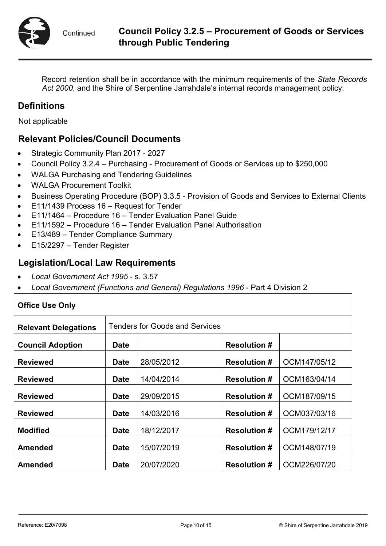

Record retention shall be in accordance with the minimum requirements of the *State Records Act 2000*, and the Shire of Serpentine Jarrahdale's internal records management policy.

## **Definitions**

Not applicable

## **Relevant Policies/Council Documents**

- Strategic Community Plan 2017 2027
- Council Policy 3.2.4 Purchasing Procurement of Goods or Services up to \$250,000
- WALGA Purchasing and Tendering Guidelines
- WALGA Procurement Toolkit
- Business Operating Procedure (BOP) 3.3.5 Provision of Goods and Services to External Clients
- E11/1439 Process 16 Request for Tender
- E11/1464 Procedure 16 Tender Evaluation Panel Guide
- E11/1592 Procedure 16 Tender Evaluation Panel Authorisation
- E13/489 Tender Compliance Summary
- E15/2297 Tender Register

## **Legislation/Local Law Requirements**

- *Local Government Act 1995*  s. 3.57
- *Local Government (Functions and General) Regulations 1996*  Part 4 Division 2

| <b>Office Use Only</b>      |                                       |            |                     |              |
|-----------------------------|---------------------------------------|------------|---------------------|--------------|
| <b>Relevant Delegations</b> | <b>Tenders for Goods and Services</b> |            |                     |              |
| <b>Council Adoption</b>     | <b>Date</b>                           |            | <b>Resolution #</b> |              |
| <b>Reviewed</b>             | <b>Date</b>                           | 28/05/2012 | <b>Resolution #</b> | OCM147/05/12 |
| <b>Reviewed</b>             | <b>Date</b>                           | 14/04/2014 | <b>Resolution #</b> | OCM163/04/14 |
| <b>Reviewed</b>             | <b>Date</b>                           | 29/09/2015 | <b>Resolution #</b> | OCM187/09/15 |
| <b>Reviewed</b>             | <b>Date</b>                           | 14/03/2016 | <b>Resolution #</b> | OCM037/03/16 |
| <b>Modified</b>             | <b>Date</b>                           | 18/12/2017 | <b>Resolution #</b> | OCM179/12/17 |
| <b>Amended</b>              | <b>Date</b>                           | 15/07/2019 | <b>Resolution #</b> | OCM148/07/19 |
| <b>Amended</b>              | <b>Date</b>                           | 20/07/2020 | <b>Resolution #</b> | OCM226/07/20 |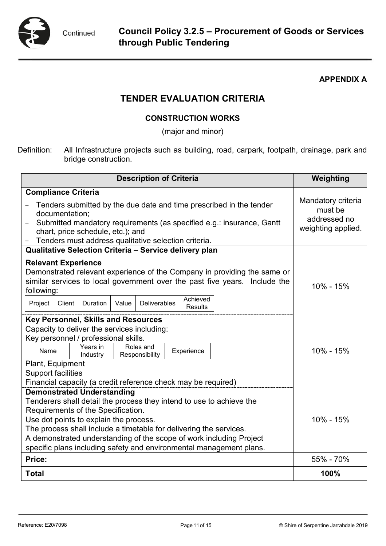

### **APPENDIX A**

## **TENDER EVALUATION CRITERIA**

## **CONSTRUCTION WORKS**

(major and minor)

Definition: All Infrastructure projects such as building, road, carpark, footpath, drainage, park and bridge construction.

| <b>Description of Criteria</b>                                                                                                                                                                                                                                                             | Weighting                                                           |
|--------------------------------------------------------------------------------------------------------------------------------------------------------------------------------------------------------------------------------------------------------------------------------------------|---------------------------------------------------------------------|
| <b>Compliance Criteria</b>                                                                                                                                                                                                                                                                 |                                                                     |
| Tenders submitted by the due date and time prescribed in the tender<br>documentation;<br>Submitted mandatory requirements (as specified e.g.: insurance, Gantt<br>chart, price schedule, etc.); and<br>Tenders must address qualitative selection criteria.                                | Mandatory criteria<br>must be<br>addressed no<br>weighting applied. |
| Qualitative Selection Criteria - Service delivery plan                                                                                                                                                                                                                                     |                                                                     |
| <b>Relevant Experience</b><br>Demonstrated relevant experience of the Company in providing the same or<br>similar services to local government over the past five years. Include the<br>following:<br>Achieved<br><b>Deliverables</b><br>Duration<br>Project<br>Client<br>Value<br>Results | 10% - 15%                                                           |
| <b>Key Personnel, Skills and Resources</b>                                                                                                                                                                                                                                                 |                                                                     |
| Capacity to deliver the services including:                                                                                                                                                                                                                                                |                                                                     |
| Key personnel / professional skills.                                                                                                                                                                                                                                                       |                                                                     |
| Years in<br>Roles and<br>Name<br>Experience<br>Responsibility<br>Industry                                                                                                                                                                                                                  | 10% - 15%                                                           |
| Plant, Equipment                                                                                                                                                                                                                                                                           |                                                                     |
| <b>Support facilities</b>                                                                                                                                                                                                                                                                  |                                                                     |
| Financial capacity (a credit reference check may be required)                                                                                                                                                                                                                              |                                                                     |
| <b>Demonstrated Understanding</b><br>Tenderers shall detail the process they intend to use to achieve the<br>Requirements of the Specification.                                                                                                                                            |                                                                     |
| Use dot points to explain the process.                                                                                                                                                                                                                                                     | 10% - 15%                                                           |
| The process shall include a timetable for delivering the services.                                                                                                                                                                                                                         |                                                                     |
| A demonstrated understanding of the scope of work including Project                                                                                                                                                                                                                        |                                                                     |
| specific plans including safety and environmental management plans.                                                                                                                                                                                                                        |                                                                     |
| Price:                                                                                                                                                                                                                                                                                     | 55% - 70%                                                           |
| <b>Total</b>                                                                                                                                                                                                                                                                               | 100%                                                                |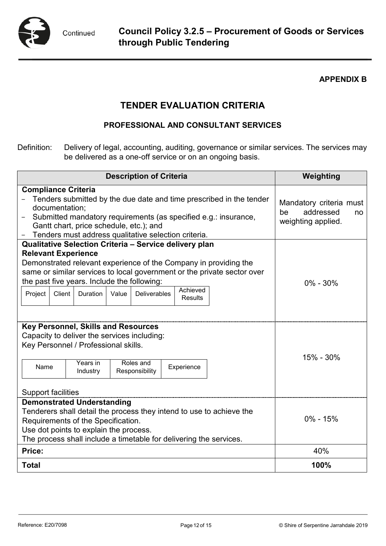

### **APPENDIX B**

## **TENDER EVALUATION CRITERIA**

## **PROFESSIONAL AND CONSULTANT SERVICES**

Definition: Delivery of legal, accounting, auditing, governance or similar services. The services may be delivered as a one-off service or on an ongoing basis.

| <b>Description of Criteria</b>                                                                                                                                                                                                                                                                                          | Weighting                                                              |
|-------------------------------------------------------------------------------------------------------------------------------------------------------------------------------------------------------------------------------------------------------------------------------------------------------------------------|------------------------------------------------------------------------|
| <b>Compliance Criteria</b>                                                                                                                                                                                                                                                                                              |                                                                        |
| Tenders submitted by the due date and time prescribed in the tender<br>documentation;<br>Submitted mandatory requirements (as specified e.g.: insurance,<br>Gantt chart, price schedule, etc.); and<br>Tenders must address qualitative selection criteria.                                                             | Mandatory criteria must<br>addressed<br>be<br>no<br>weighting applied. |
| Qualitative Selection Criteria - Service delivery plan                                                                                                                                                                                                                                                                  |                                                                        |
| <b>Relevant Experience</b><br>Demonstrated relevant experience of the Company in providing the<br>same or similar services to local government or the private sector over<br>the past five years. Include the following:<br>Achieved<br>Client<br><b>Deliverables</b><br>Project<br><b>Duration</b><br>Value<br>Results | $0\% - 30\%$                                                           |
| Key Personnel, Skills and Resources<br>Capacity to deliver the services including:<br>Key Personnel / Professional skills.<br>Years in<br>Roles and<br>Name<br>Experience<br>Responsibility<br>Industry<br><b>Support facilities</b>                                                                                    | 15% - 30%                                                              |
| <b>Demonstrated Understanding</b><br>Tenderers shall detail the process they intend to use to achieve the<br>Requirements of the Specification.<br>Use dot points to explain the process.<br>The process shall include a timetable for delivering the services.                                                         | $0\% - 15\%$                                                           |
| Price:                                                                                                                                                                                                                                                                                                                  | 40%                                                                    |
| <b>Total</b>                                                                                                                                                                                                                                                                                                            | 100%                                                                   |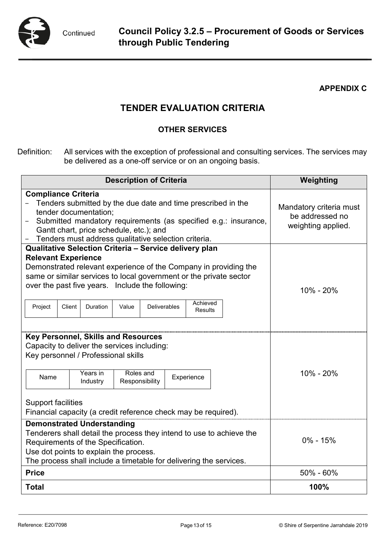

### **APPENDIX C**

## **TENDER EVALUATION CRITERIA**

## **OTHER SERVICES**

Definition: All services with the exception of professional and consulting services. The services may be delivered as a one-off service or on an ongoing basis.

| <b>Description of Criteria</b>                                                                                                                                                                                                                                                                                                                                                           | Weighting                                                        |
|------------------------------------------------------------------------------------------------------------------------------------------------------------------------------------------------------------------------------------------------------------------------------------------------------------------------------------------------------------------------------------------|------------------------------------------------------------------|
| <b>Compliance Criteria</b><br>Tenders submitted by the due date and time prescribed in the<br>tender documentation;<br>Submitted mandatory requirements (as specified e.g.: insurance,<br>Gantt chart, price schedule, etc.); and<br>Tenders must address qualitative selection criteria.                                                                                                | Mandatory criteria must<br>be addressed no<br>weighting applied. |
| Qualitative Selection Criteria - Service delivery plan<br><b>Relevant Experience</b><br>Demonstrated relevant experience of the Company in providing the<br>same or similar services to local government or the private sector<br>over the past five years. Include the following:<br>Achieved<br>Project<br><b>Deliverables</b><br>Client<br><b>Duration</b><br>Value<br><b>Results</b> | 10% - 20%                                                        |
| <b>Key Personnel, Skills and Resources</b><br>Capacity to deliver the services including:<br>Key personnel / Professional skills<br>Roles and<br>Years in<br>Name<br>Experience<br>Responsibility<br>Industry<br><b>Support facilities</b><br>Financial capacity (a credit reference check may be required).                                                                             | 10% - 20%                                                        |
| <b>Demonstrated Understanding</b><br>Tenderers shall detail the process they intend to use to achieve the<br>Requirements of the Specification.<br>Use dot points to explain the process.<br>The process shall include a timetable for delivering the services.                                                                                                                          | $0\% - 15\%$                                                     |
| <b>Price</b>                                                                                                                                                                                                                                                                                                                                                                             | 50% - 60%                                                        |
| <b>Total</b>                                                                                                                                                                                                                                                                                                                                                                             | 100%                                                             |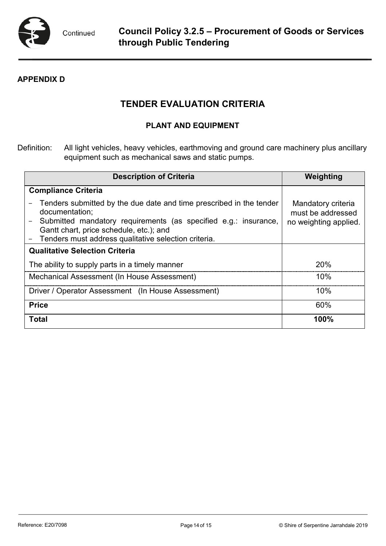

## **APPENDIX D**

## **TENDER EVALUATION CRITERIA**

## **PLANT AND EQUIPMENT**

Definition: All light vehicles, heavy vehicles, earthmoving and ground care machinery plus ancillary equipment such as mechanical saws and static pumps.

| <b>Description of Criteria</b>                                                                                                                                                                                                                              | Weighting                                                        |
|-------------------------------------------------------------------------------------------------------------------------------------------------------------------------------------------------------------------------------------------------------------|------------------------------------------------------------------|
| <b>Compliance Criteria</b>                                                                                                                                                                                                                                  |                                                                  |
| Tenders submitted by the due date and time prescribed in the tender<br>documentation;<br>Submitted mandatory requirements (as specified e.g.: insurance,<br>Gantt chart, price schedule, etc.); and<br>Tenders must address qualitative selection criteria. | Mandatory criteria<br>must be addressed<br>no weighting applied. |
| <b>Qualitative Selection Criteria</b>                                                                                                                                                                                                                       |                                                                  |
| The ability to supply parts in a timely manner                                                                                                                                                                                                              | <b>20%</b>                                                       |
| Mechanical Assessment (In House Assessment)                                                                                                                                                                                                                 | 10%                                                              |
| Driver / Operator Assessment (In House Assessment)                                                                                                                                                                                                          | 10%                                                              |
| <b>Price</b>                                                                                                                                                                                                                                                | 60%                                                              |
| <b>Total</b>                                                                                                                                                                                                                                                | 100%                                                             |